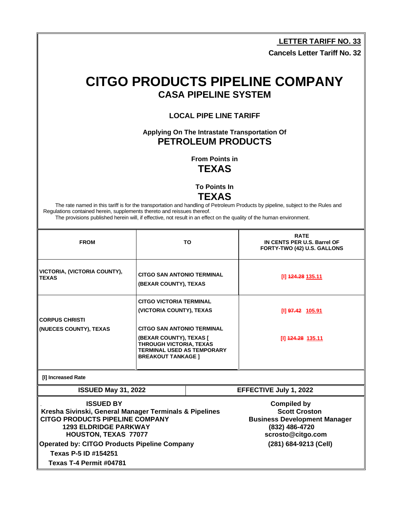**LETTER TARIFF NO. 33**

**Cancels Letter Tariff No. 32**

## **CITGO PRODUCTS PIPELINE COMPANY CASA PIPELINE SYSTEM**

**LOCAL PIPE LINE TARIFF**

**Applying On The Intrastate Transportation Of PETROLEUM PRODUCTS**

> **From Points in TEXAS**

**To Points In**

**TEXAS**

T

The rate named in this tariff is for the transportation and handling of Petroleum Products by pipeline, subject to the Rules and Regulations contained herein, supplements thereto and reissues thereof.

The provisions published herein will, if effective, not result in an effect on the quality of the human environment.

T

| <b>FROM</b>                                                                                                                                                                                                                                |                                                                                                                      | <b>TO</b> | <b>RATE</b><br>IN CENTS PER U.S. Barrel OF<br>FORTY-TWO (42) U.S. GALLONS                                                                         |
|--------------------------------------------------------------------------------------------------------------------------------------------------------------------------------------------------------------------------------------------|----------------------------------------------------------------------------------------------------------------------|-----------|---------------------------------------------------------------------------------------------------------------------------------------------------|
| VICTORIA, (VICTORIA COUNTY),<br><b>TEXAS</b>                                                                                                                                                                                               | <b>CITGO SAN ANTONIO TERMINAL</b><br>(BEXAR COUNTY), TEXAS                                                           |           | [I] 424.28 135.11                                                                                                                                 |
|                                                                                                                                                                                                                                            | <b>CITGO VICTORIA TERMINAL</b>                                                                                       |           |                                                                                                                                                   |
|                                                                                                                                                                                                                                            | (VICTORIA COUNTY), TEXAS                                                                                             |           | [I] 97.42 105.91                                                                                                                                  |
| <b>CORPUS CHRISTI</b>                                                                                                                                                                                                                      |                                                                                                                      |           |                                                                                                                                                   |
| (NUECES COUNTY), TEXAS                                                                                                                                                                                                                     | <b>CITGO SAN ANTONIO TERMINAL</b>                                                                                    |           |                                                                                                                                                   |
|                                                                                                                                                                                                                                            | (BEXAR COUNTY), TEXAS [<br>THROUGH VICTORIA, TEXAS<br><b>TERMINAL USED AS TEMPORARY</b><br><b>BREAKOUT TANKAGE 1</b> |           | [I] 424.28 135.11                                                                                                                                 |
| [I] Increased Rate                                                                                                                                                                                                                         |                                                                                                                      |           |                                                                                                                                                   |
| <b>ISSUED May 31, 2022</b>                                                                                                                                                                                                                 |                                                                                                                      |           | EFFECTIVE July 1, 2022                                                                                                                            |
| <b>ISSUED BY</b><br>Kresha Sivinski, General Manager Terminals & Pipelines<br><b>CITGO PRODUCTS PIPELINE COMPANY</b><br><b>1293 ELDRIDGE PARKWAY</b><br><b>HOUSTON, TEXAS 77077</b><br><b>Operated by: CITGO Products Pipeline Company</b> |                                                                                                                      |           | <b>Compiled by</b><br><b>Scott Croston</b><br><b>Business Development Manager</b><br>(832) 486-4720<br>scrosto@citgo.com<br>(281) 684-9213 (Cell) |
| Texas P-5 ID #154251                                                                                                                                                                                                                       |                                                                                                                      |           |                                                                                                                                                   |
| Texas T-4 Permit #04781                                                                                                                                                                                                                    |                                                                                                                      |           |                                                                                                                                                   |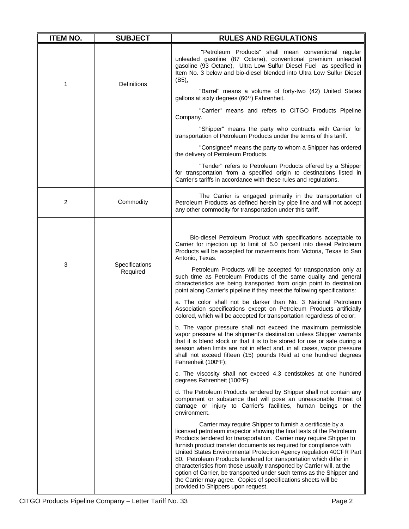| <b>ITEM NO.</b> | <b>SUBJECT</b>                  | <b>RULES AND REGULATIONS</b>                                                                                                                                                                                                                                                                                                                                                                                                                                                                                                                                                                                                                                                             |
|-----------------|---------------------------------|------------------------------------------------------------------------------------------------------------------------------------------------------------------------------------------------------------------------------------------------------------------------------------------------------------------------------------------------------------------------------------------------------------------------------------------------------------------------------------------------------------------------------------------------------------------------------------------------------------------------------------------------------------------------------------------|
| 1               | <b>Definitions</b>              | "Petroleum Products" shall mean conventional regular<br>unleaded gasoline (87 Octane), conventional premium unleaded<br>gasoline (93 Octane), Ultra Low Sulfur Diesel Fuel as specified in<br>Item No. 3 below and bio-diesel blended into Ultra Low Sulfur Diesel<br>$(B5)$ .                                                                                                                                                                                                                                                                                                                                                                                                           |
|                 |                                 | "Barrel" means a volume of forty-two (42) United States<br>gallons at sixty degrees (60°) Fahrenheit.                                                                                                                                                                                                                                                                                                                                                                                                                                                                                                                                                                                    |
|                 |                                 | "Carrier" means and refers to CITGO Products Pipeline<br>Company.                                                                                                                                                                                                                                                                                                                                                                                                                                                                                                                                                                                                                        |
|                 |                                 | "Shipper" means the party who contracts with Carrier for<br>transportation of Petroleum Products under the terms of this tariff.                                                                                                                                                                                                                                                                                                                                                                                                                                                                                                                                                         |
|                 |                                 | "Consignee" means the party to whom a Shipper has ordered<br>the delivery of Petroleum Products.                                                                                                                                                                                                                                                                                                                                                                                                                                                                                                                                                                                         |
|                 |                                 | "Tender" refers to Petroleum Products offered by a Shipper<br>for transportation from a specified origin to destinations listed in<br>Carrier's tariffs in accordance with these rules and regulations.                                                                                                                                                                                                                                                                                                                                                                                                                                                                                  |
| 2               | Commodity                       | The Carrier is engaged primarily in the transportation of<br>Petroleum Products as defined herein by pipe line and will not accept<br>any other commodity for transportation under this tariff.                                                                                                                                                                                                                                                                                                                                                                                                                                                                                          |
|                 |                                 |                                                                                                                                                                                                                                                                                                                                                                                                                                                                                                                                                                                                                                                                                          |
|                 | 3<br>Specifications<br>Required | Bio-diesel Petroleum Product with specifications acceptable to<br>Carrier for injection up to limit of 5.0 percent into diesel Petroleum<br>Products will be accepted for movements from Victoria, Texas to San<br>Antonio, Texas.                                                                                                                                                                                                                                                                                                                                                                                                                                                       |
|                 |                                 | Petroleum Products will be accepted for transportation only at<br>such time as Petroleum Products of the same quality and general<br>characteristics are being transported from origin point to destination<br>point along Carrier's pipeline if they meet the following specifications:                                                                                                                                                                                                                                                                                                                                                                                                 |
|                 |                                 | a. The color shall not be darker than No. 3 National Petroleum<br>Association specifications except on Petroleum Products artificially<br>colored, which will be accepted for transportation regardless of color;                                                                                                                                                                                                                                                                                                                                                                                                                                                                        |
|                 |                                 | b. The vapor pressure shall not exceed the maximum permissible<br>vapor pressure at the shipment's destination unless Shipper warrants<br>that it is blend stock or that it is to be stored for use or sale during a<br>season when limits are not in effect and, in all cases, vapor pressure<br>shall not exceed fifteen (15) pounds Reid at one hundred degrees<br>Fahrenheit (100°F);                                                                                                                                                                                                                                                                                                |
|                 |                                 | c. The viscosity shall not exceed 4.3 centistokes at one hundred<br>degrees Fahrenheit (100°F);                                                                                                                                                                                                                                                                                                                                                                                                                                                                                                                                                                                          |
|                 |                                 | d. The Petroleum Products tendered by Shipper shall not contain any<br>component or substance that will pose an unreasonable threat of<br>damage or injury to Carrier's facilities, human beings or the<br>environment.                                                                                                                                                                                                                                                                                                                                                                                                                                                                  |
|                 |                                 | Carrier may require Shipper to furnish a certificate by a<br>licensed petroleum inspector showing the final tests of the Petroleum<br>Products tendered for transportation. Carrier may require Shipper to<br>furnish product transfer documents as required for compliance with<br>United States Environmental Protection Agency regulation 40CFR Part<br>80. Petroleum Products tendered for transportation which differ in<br>characteristics from those usually transported by Carrier will, at the<br>option of Carrier, be transported under such terms as the Shipper and<br>the Carrier may agree. Copies of specifications sheets will be<br>provided to Shippers upon request. |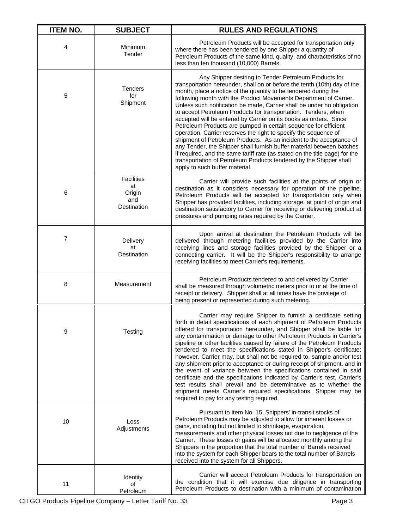| <b>ITEM NO.</b> | <b>SUBJECT</b>                                          | <b>RULES AND REGULATIONS</b>                                                                                                                                                                                                                                                                                                                                                                                                                                                                                                                                                                                                                                                                                                                                                                                                                                                                                                                                             |
|-----------------|---------------------------------------------------------|--------------------------------------------------------------------------------------------------------------------------------------------------------------------------------------------------------------------------------------------------------------------------------------------------------------------------------------------------------------------------------------------------------------------------------------------------------------------------------------------------------------------------------------------------------------------------------------------------------------------------------------------------------------------------------------------------------------------------------------------------------------------------------------------------------------------------------------------------------------------------------------------------------------------------------------------------------------------------|
| 4               | Minimum<br>Tender                                       | Petroleum Products will be accepted for transportation only<br>where there has been tendered by one Shipper a quantity of<br>Petroleum Products of the same kind, quality, and characteristics of no<br>less than ten thousand (10,000) Barrels.                                                                                                                                                                                                                                                                                                                                                                                                                                                                                                                                                                                                                                                                                                                         |
| 5               | <b>Tenders</b><br>for<br>Shipment                       | Any Shipper desiring to Tender Petroleum Products for<br>transportation hereunder, shall on or before the tenth (10th) day of the<br>month, place a notice of the quantity to be tendered during the<br>following month with the Product Movements Department of Carrier.<br>Unless such notification be made, Carrier shall be under no obligation<br>to accept Petroleum Products for transportation. Tenders, when<br>accepted will be entered by Carrier on its books as orders. Since<br>Petroleum Products are pumped in certain sequence for efficient<br>operation, Carrier reserves the right to specify the sequence of<br>shipment of Petroleum Products. As an incident to the acceptance of<br>any Tender, the Shipper shall furnish buffer material between batches<br>if required, and the same tariff rate (as stated on the title page) for the<br>transportation of Petroleum Products tendered by the Shipper shall<br>apply to such buffer material. |
| 6               | <b>Facilities</b><br>at<br>Origin<br>and<br>Destination | Carrier will provide such facilities at the points of origin or<br>destination as it considers necessary for operation of the pipeline.<br>Petroleum Products will be accepted for transportation only when<br>Shipper has provided facilities, including storage, at point of origin and<br>destination satisfactory to Carrier for receiving or delivering product at<br>pressures and pumping rates required by the Carrier.                                                                                                                                                                                                                                                                                                                                                                                                                                                                                                                                          |
| $\overline{7}$  | Delivery<br>at<br>Destination                           | Upon arrival at destination the Petroleum Products will be<br>delivered through metering facilities provided by the Carrier into<br>receiving lines and storage facilities provided by the Shipper or a<br>connecting carrier. It will be the Shipper's responsibility to arrange<br>receiving facilities to meet Carrier's requirements.                                                                                                                                                                                                                                                                                                                                                                                                                                                                                                                                                                                                                                |
| 8               | Measurement                                             | Petroleum Products tendered to and delivered by Carrier<br>shall be measured through volumetric meters prior to or at the time of<br>receipt or delivery. Shipper shall at all times have the privilege of<br>being present or represented during such metering.                                                                                                                                                                                                                                                                                                                                                                                                                                                                                                                                                                                                                                                                                                         |
| 9               | Testing                                                 | Carrier may require Shipper to furnish a certificate setting<br>forth in detail specifications of each shipment of Petroleum Products<br>offered for transportation hereunder, and Shipper shall be liable for<br>any contamination or damage to other Petroleum Products in Carrier's<br>pipeline or other facilities caused by failure of the Petroleum Products<br>tendered to meet the specifications stated in Shipper's certificate;<br>however, Carrier may, but shall not be required to, sample and/or test<br>any shipment prior to acceptance or during receipt of shipment, and in<br>the event of variance between the specifications contained in said<br>certificate and the specifications indicated by Carrier's test, Carrier's<br>test results shall prevail and be determinative as to whether the<br>shipment meets Carrier's required specifications. Shipper may be<br>required to pay for any testing required.                                  |
| 10              | Loss<br>Adjustments                                     | Pursuant to Item No. 15, Shippers' in-transit stocks of<br>Petroleum Products may be adjusted to allow for inherent losses or<br>gains, including but not limited to shrinkage, evaporation,<br>measurements and other physical losses not due to negligence of the<br>Carrier. These losses or gains will be allocated monthly among the<br>Shippers in the proportion that the total number of Barrels received<br>into the system for each Shipper bears to the total number of Barrels<br>received into the system for all Shippers.                                                                                                                                                                                                                                                                                                                                                                                                                                 |
| 11              | Identity<br>οf<br>Petroleum                             | Carrier will accept Petroleum Products for transportation on<br>the condition that it will exercise due diligence in transporting<br>Petroleum Products to destination with a minimum of contamination                                                                                                                                                                                                                                                                                                                                                                                                                                                                                                                                                                                                                                                                                                                                                                   |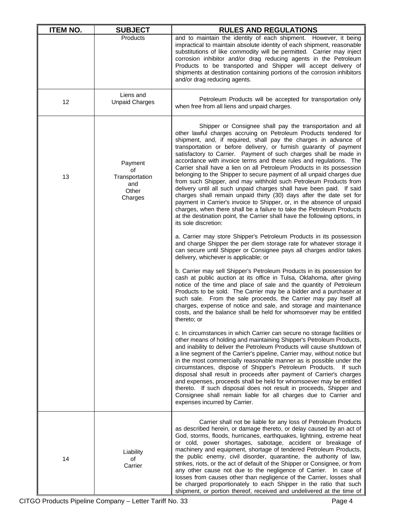| <b>ITEM NO.</b> | <b>SUBJECT</b>                                             | <b>RULES AND REGULATIONS</b>                                                                                                                                                                                                                                                                                                                                                                                                                                                                                                                                                                                                                                                                                                                                                                                                                                                                                                                                                                                                                 |
|-----------------|------------------------------------------------------------|----------------------------------------------------------------------------------------------------------------------------------------------------------------------------------------------------------------------------------------------------------------------------------------------------------------------------------------------------------------------------------------------------------------------------------------------------------------------------------------------------------------------------------------------------------------------------------------------------------------------------------------------------------------------------------------------------------------------------------------------------------------------------------------------------------------------------------------------------------------------------------------------------------------------------------------------------------------------------------------------------------------------------------------------|
|                 | Products                                                   | and to maintain the identity of each shipment. However, it being<br>impractical to maintain absolute identity of each shipment, reasonable<br>substitutions of like commodity will be permitted. Carrier may inject<br>corrosion inhibitor and/or drag reducing agents in the Petroleum<br>Products to be transported and Shipper will accept delivery of<br>shipments at destination containing portions of the corrosion inhibitors<br>and/or drag reducing agents.                                                                                                                                                                                                                                                                                                                                                                                                                                                                                                                                                                        |
| 12              | Liens and<br><b>Unpaid Charges</b>                         | Petroleum Products will be accepted for transportation only<br>when free from all liens and unpaid charges.                                                                                                                                                                                                                                                                                                                                                                                                                                                                                                                                                                                                                                                                                                                                                                                                                                                                                                                                  |
| 13              | Payment<br>of<br>Transportation<br>and<br>Other<br>Charges | Shipper or Consignee shall pay the transportation and all<br>other lawful charges accruing on Petroleum Products tendered for<br>shipment, and, if required, shall pay the charges in advance of<br>transportation or before delivery, or furnish guaranty of payment<br>satisfactory to Carrier. Payment of such charges shall be made in<br>accordance with invoice terms and these rules and regulations. The<br>Carrier shall have a lien on all Petroleum Products in its possession<br>belonging to the Shipper to secure payment of all unpaid charges due<br>from such Shipper, and may withhold such Petroleum Products from<br>delivery until all such unpaid charges shall have been paid. If said<br>charges shall remain unpaid thirty (30) days after the date set for<br>payment in Carrier's invoice to Shipper, or, in the absence of unpaid<br>charges, when there shall be a failure to take the Petroleum Products<br>at the destination point, the Carrier shall have the following options, in<br>its sole discretion: |
|                 |                                                            | a. Carrier may store Shipper's Petroleum Products in its possession<br>and charge Shipper the per diem storage rate for whatever storage it<br>can secure until Shipper or Consignee pays all charges and/or takes<br>delivery, whichever is applicable; or                                                                                                                                                                                                                                                                                                                                                                                                                                                                                                                                                                                                                                                                                                                                                                                  |
|                 |                                                            | b. Carrier may sell Shipper's Petroleum Products in its possession for<br>cash at public auction at its office in Tulsa, Oklahoma, after giving<br>notice of the time and place of sale and the quantity of Petroleum<br>Products to be sold. The Carrier may be a bidder and a purchaser at<br>such sale. From the sale proceeds, the Carrier may pay itself all<br>charges, expense of notice and sale, and storage and maintenance<br>costs, and the balance shall be held for whomsoever may be entitled<br>thereto; or                                                                                                                                                                                                                                                                                                                                                                                                                                                                                                                  |
|                 |                                                            | c. In circumstances in which Carrier can secure no storage facilities or<br>other means of holding and maintaining Shipper's Petroleum Products,<br>and inability to deliver the Petroleum Products will cause shutdown of<br>a line segment of the Carrier's pipeline, Carrier may, without notice but<br>in the most commercially reasonable manner as is possible under the<br>circumstances, dispose of Shipper's Petroleum Products.<br>lf such<br>disposal shall result in proceeds after payment of Carrier's charges<br>and expenses, proceeds shall be held for whomsoever may be entitled<br>thereto. If such disposal does not result in proceeds, Shipper and<br>Consignee shall remain liable for all charges due to Carrier and<br>expenses incurred by Carrier.                                                                                                                                                                                                                                                               |
| 14              | Liability<br>of<br>Carrier                                 | Carrier shall not be liable for any loss of Petroleum Products<br>as described herein, or damage thereto, or delay caused by an act of<br>God, storms, floods, hurricanes, earthquakes, lightning, extreme heat<br>or cold, power shortages, sabotage, accident or breakage of<br>machinery and equipment, shortage of tendered Petroleum Products,<br>the public enemy, civil disorder, quarantine, the authority of law,<br>strikes, riots, or the act of default of the Shipper or Consignee, or from<br>any other cause not due to the negligence of Carrier. In case of<br>losses from causes other than negligence of the Carrier, losses shall<br>be charged proportionately to each Shipper in the ratio that such<br>shipment, or portion thereof, received and undelivered at the time of                                                                                                                                                                                                                                          |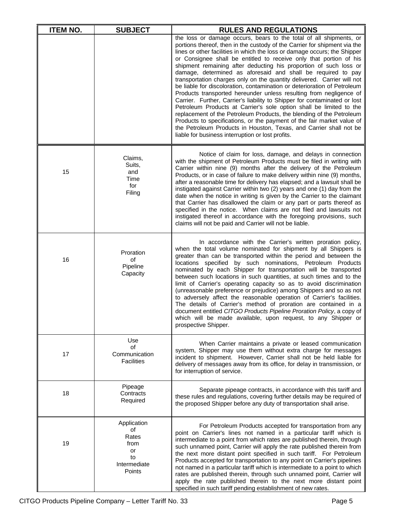| <b>ITEM NO.</b> | <b>SUBJECT</b>                                                           | <b>RULES AND REGULATIONS</b>                                                                                                                                                                                                                                                                                                                                                                                                                                                                                                                                                                                                                                                                                                                                                                                                                                                                                                                                                                                                                                                                          |
|-----------------|--------------------------------------------------------------------------|-------------------------------------------------------------------------------------------------------------------------------------------------------------------------------------------------------------------------------------------------------------------------------------------------------------------------------------------------------------------------------------------------------------------------------------------------------------------------------------------------------------------------------------------------------------------------------------------------------------------------------------------------------------------------------------------------------------------------------------------------------------------------------------------------------------------------------------------------------------------------------------------------------------------------------------------------------------------------------------------------------------------------------------------------------------------------------------------------------|
|                 |                                                                          | the loss or damage occurs, bears to the total of all shipments, or<br>portions thereof, then in the custody of the Carrier for shipment via the<br>lines or other facilities in which the loss or damage occurs; the Shipper<br>or Consignee shall be entitled to receive only that portion of his<br>shipment remaining after deducting his proportion of such loss or<br>damage, determined as aforesaid and shall be required to pay<br>transportation charges only on the quantity delivered. Carrier will not<br>be liable for discoloration, contamination or deterioration of Petroleum<br>Products transported hereunder unless resulting from negligence of<br>Carrier. Further, Carrier's liability to Shipper for contaminated or lost<br>Petroleum Products at Carrier's sole option shall be limited to the<br>replacement of the Petroleum Products, the blending of the Petroleum<br>Products to specifications, or the payment of the fair market value of<br>the Petroleum Products in Houston, Texas, and Carrier shall not be<br>liable for business interruption or lost profits. |
| 15              | Claims,<br>Suits,<br>and<br>Time<br>for<br>Filing                        | Notice of claim for loss, damage, and delays in connection<br>with the shipment of Petroleum Products must be filed in writing with<br>Carrier within nine (9) months after the delivery of the Petroleum<br>Products, or in case of failure to make delivery within nine (9) months,<br>after a reasonable time for delivery has elapsed; and a lawsuit shall be<br>instigated against Carrier within two (2) years and one (1) day from the<br>date when the notice in writing is given by the Carrier to the claimant<br>that Carrier has disallowed the claim or any part or parts thereof as<br>specified in the notice. When claims are not filed and lawsuits not<br>instigated thereof in accordance with the foregoing provisions, such<br>claims will not be paid and Carrier will not be liable.                                                                                                                                                                                                                                                                                           |
| 16              | Proration<br>of<br>Pipeline<br>Capacity                                  | In accordance with the Carrier's written proration policy,<br>when the total volume nominated for shipment by all Shippers is<br>greater than can be transported within the period and between the<br>locations specified by such nominations, Petroleum Products<br>nominated by each Shipper for transportation will be transported<br>between such locations in such quantities, at such times and to the<br>limit of Carrier's operating capacity so as to avoid discrimination<br>(unreasonable preference or prejudice) among Shippers and so as not<br>to adversely affect the reasonable operation of Carrier's facilities.<br>The details of Carrier's method of proration are contained in a<br>document entitled CITGO Products Pipeline Proration Policy, a copy of<br>which will be made available, upon request, to any Shipper or<br>prospective Shipper.                                                                                                                                                                                                                              |
| 17              | Use<br>οf<br>Communication<br><b>Facilities</b>                          | When Carrier maintains a private or leased communication<br>system, Shipper may use them without extra charge for messages<br>incident to shipment. However, Carrier shall not be held liable for<br>delivery of messages away from its office, for delay in transmission, or<br>for interruption of service.                                                                                                                                                                                                                                                                                                                                                                                                                                                                                                                                                                                                                                                                                                                                                                                         |
| 18              | Pipeage<br>Contracts<br>Required                                         | Separate pipeage contracts, in accordance with this tariff and<br>these rules and regulations, covering further details may be required of<br>the proposed Shipper before any duty of transportation shall arise.                                                                                                                                                                                                                                                                                                                                                                                                                                                                                                                                                                                                                                                                                                                                                                                                                                                                                     |
| 19              | Application<br>of<br>Rates<br>from<br>or<br>to<br>Intermediate<br>Points | For Petroleum Products accepted for transportation from any<br>point on Carrier's lines not named in a particular tariff which is<br>intermediate to a point from which rates are published therein, through<br>such unnamed point, Carrier will apply the rate published therein from<br>the next more distant point specified in such tariff. For Petroleum<br>Products accepted for transportation to any point on Carrier's pipelines<br>not named in a particular tariff which is intermediate to a point to which<br>rates are published therein, through such unnamed point, Carrier will<br>apply the rate published therein to the next more distant point<br>specified in such tariff pending establishment of new rates.                                                                                                                                                                                                                                                                                                                                                                   |